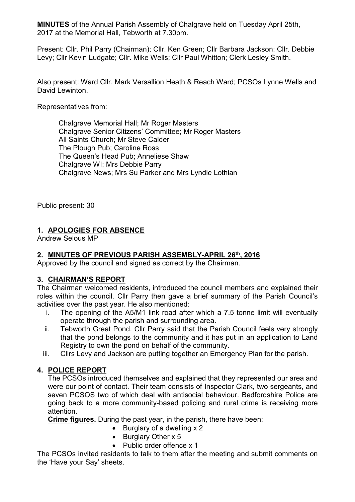**MINUTES** of the Annual Parish Assembly of Chalgrave held on Tuesday April 25th, 2017 at the Memorial Hall, Tebworth at 7.30pm.

Present: Cllr. Phil Parry (Chairman); Cllr. Ken Green; Cllr Barbara Jackson; Cllr. Debbie Levy; Cllr Kevin Ludgate; Cllr. Mike Wells; Cllr Paul Whitton; Clerk Lesley Smith.

Also present: Ward Cllr. Mark Versallion Heath & Reach Ward; PCSOs Lynne Wells and David Lewinton.

Representatives from:

Chalgrave Memorial Hall; Mr Roger Masters Chalgrave Senior Citizens' Committee; Mr Roger Masters All Saints Church; Mr Steve Calder The Plough Pub; Caroline Ross The Queen's Head Pub; Anneliese Shaw Chalgrave WI; Mrs Debbie Parry Chalgrave News; Mrs Su Parker and Mrs Lyndie Lothian

Public present: 30

### **1. APOLOGIES FOR ABSENCE**

Andrew Selous MP

### **2. MINUTES OF PREVIOUS PARISH ASSEMBLY-APRIL 26th, 2016**

Approved by the council and signed as correct by the Chairman.

### **3. CHAIRMAN'S REPORT**

The Chairman welcomed residents, introduced the council members and explained their roles within the council. Cllr Parry then gave a brief summary of the Parish Council's activities over the past year. He also mentioned:

- i. The opening of the A5/M1 link road after which a 7.5 tonne limit will eventually operate through the parish and surrounding area.
- ii. Tebworth Great Pond. Cllr Parry said that the Parish Council feels very strongly that the pond belongs to the community and it has put in an application to Land Registry to own the pond on behalf of the community.
- iii. Cllrs Levy and Jackson are putting together an Emergency Plan for the parish.

### **4. POLICE REPORT**

The PCSOs introduced themselves and explained that they represented our area and were our point of contact. Their team consists of Inspector Clark, two sergeants, and seven PCSOS two of which deal with antisocial behaviour. Bedfordshire Police are going back to a more community-based policing and rural crime is receiving more attention.

**Crime figures.** During the past year, in the parish, there have been:

- $\bullet$  Burglary of a dwelling  $\times$  2
- $\bullet$  Burglary Other x 5
- Public order offence x 1

The PCSOs invited residents to talk to them after the meeting and submit comments on the 'Have your Say' sheets.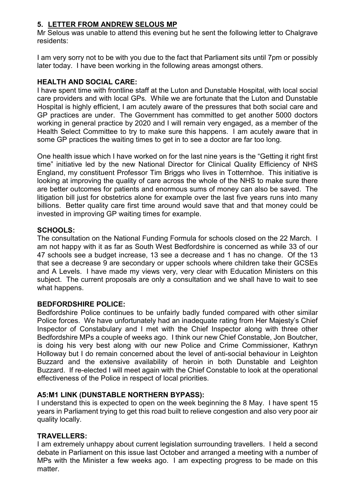### **5. LETTER FROM ANDREW SELOUS MP**

Mr Selous was unable to attend this evening but he sent the following letter to Chalgrave residents:

I am very sorry not to be with you due to the fact that Parliament sits until 7pm or possibly later today. I have been working in the following areas amongst others.

### **HEALTH AND SOCIAL CARE:**

I have spent time with frontline staff at the Luton and Dunstable Hospital, with local social care providers and with local GPs. While we are fortunate that the Luton and Dunstable Hospital is highly efficient, I am acutely aware of the pressures that both social care and GP practices are under. The Government has committed to get another 5000 doctors working in general practice by 2020 and I will remain very engaged, as a member of the Health Select Committee to try to make sure this happens. I am acutely aware that in some GP practices the waiting times to get in to see a doctor are far too long.

One health issue which I have worked on for the last nine years is the "Getting it right first time" initiative led by the new National Director for Clinical Quality Efficiency of NHS England, my constituent Professor Tim Briggs who lives in Totternhoe. This initiative is looking at improving the quality of care across the whole of the NHS to make sure there are better outcomes for patients and enormous sums of money can also be saved. The litigation bill just for obstetrics alone for example over the last five years runs into many billions. Better quality care first time around would save that and that money could be invested in improving GP waiting times for example.

#### **SCHOOLS:**

The consultation on the National Funding Formula for schools closed on the 22 March. I am not happy with it as far as South West Bedfordshire is concerned as while 33 of our 47 schools see a budget increase, 13 see a decrease and 1 has no change. Of the 13 that see a decrease 9 are secondary or upper schools where children take their GCSEs and A Levels. I have made my views very, very clear with Education Ministers on this subject. The current proposals are only a consultation and we shall have to wait to see what happens.

#### **BEDFORDSHIRE POLICE:**

Bedfordshire Police continues to be unfairly badly funded compared with other similar Police forces. We have unfortunately had an inadequate rating from Her Majesty's Chief Inspector of Constabulary and I met with the Chief Inspector along with three other Bedfordshire MPs a couple of weeks ago. I think our new Chief Constable, Jon Boutcher, is doing his very best along with our new Police and Crime Commissioner, Kathryn Holloway but I do remain concerned about the level of anti-social behaviour in Leighton Buzzard and the extensive availability of heroin in both Dunstable and Leighton Buzzard. If re-elected I will meet again with the Chief Constable to look at the operational effectiveness of the Police in respect of local priorities.

### **A5:M1 LINK (DUNSTABLE NORTHERN BYPASS):**

I understand this is expected to open on the week beginning the 8 May. I have spent 15 years in Parliament trying to get this road built to relieve congestion and also very poor air quality locally.

### **TRAVELLERS:**

I am extremely unhappy about current legislation surrounding travellers. I held a second debate in Parliament on this issue last October and arranged a meeting with a number of MPs with the Minister a few weeks ago. I am expecting progress to be made on this matter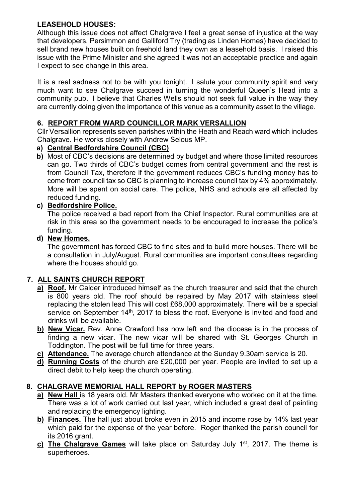# **LEASEHOLD HOUSES:**

Although this issue does not affect Chalgrave I feel a great sense of injustice at the way that developers, Persimmon and Galliford Try (trading as Linden Homes) have decided to sell brand new houses built on freehold land they own as a leasehold basis. I raised this issue with the Prime Minister and she agreed it was not an acceptable practice and again I expect to see change in this area.

It is a real sadness not to be with you tonight. I salute your community spirit and very much want to see Chalgrave succeed in turning the wonderful Queen's Head into a community pub. I believe that Charles Wells should not seek full value in the way they are currently doing given the importance of this venue as a community asset to the village.

### **6. REPORT FROM WARD COUNCILLOR MARK VERSALLION**

Cllr Versallion represents seven parishes within the Heath and Reach ward which includes Chalgrave. He works closely with Andrew Selous MP.

### **a) Central Bedfordshire Council (CBC)**

**b)** Most of CBC's decisions are determined by budget and where those limited resources can go. Two thirds of CBC's budget comes from central government and the rest is from Council Tax, therefore if the government reduces CBC's funding money has to come from council tax so CBC is planning to increase council tax by 4% approximately. More will be spent on social care. The police, NHS and schools are all affected by reduced funding.

# **c) Bedfordshire Police.**

The police received a bad report from the Chief Inspector. Rural communities are at risk in this area so the government needs to be encouraged to increase the police's funding.

### **d) New Homes.**

The government has forced CBC to find sites and to build more houses. There will be a consultation in July/August. Rural communities are important consultees regarding where the houses should go.

# **7. ALL SAINTS CHURCH REPORT**

- **a) Roof.** Mr Calder introduced himself as the church treasurer and said that the church is 800 years old. The roof should be repaired by May 2017 with stainless steel replacing the stolen lead This will cost £68,000 approximately. There will be a special service on September 14<sup>th</sup>, 2017 to bless the roof. Everyone is invited and food and drinks will be available.
- **b) New Vicar.** Rev. Anne Crawford has now left and the diocese is in the process of finding a new vicar. The new vicar will be shared with St. Georges Church in Toddington. The post will be full time for three years.
- **c) Attendance.** The average church attendance at the Sunday 9.30am service is 20.
- **d) Running Costs** of the church are £20,000 per year. People are invited to set up a direct debit to help keep the church operating.

# **8. CHALGRAVE MEMORIAL HALL REPORT by ROGER MASTERS**

- **a) New Hall** is 18 years old. Mr Masters thanked everyone who worked on it at the time. There was a lot of work carried out last year, which included a great deal of painting and replacing the emergency lighting.
- **b) Finances.** The hall just about broke even in 2015 and income rose by 14% last year which paid for the expense of the year before. Roger thanked the parish council for its 2016 grant.
- **c) The Chalgrave Games** will take place on Saturday July 1st, 2017. The theme is superheroes.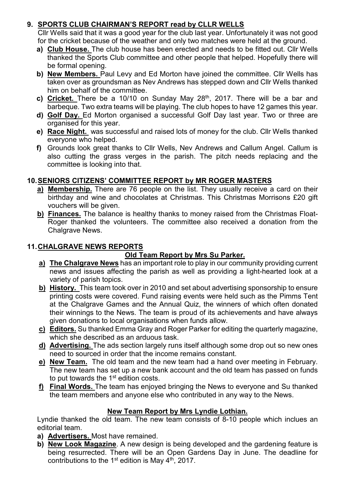## **9. SPORTS CLUB CHAIRMAN'S REPORT read by CLLR WELLS**

Cllr Wells said that it was a good year for the club last year. Unfortunately it was not good for the cricket because of the weather and only two matches were held at the ground.

- **a) Club House.** The club house has been erected and needs to be fitted out. Cllr Wells thanked the Sports Club committee and other people that helped. Hopefully there will be formal opening.
- **b) New Members.** Paul Levy and Ed Morton have joined the committee. Cllr Wells has taken over as groundsman as Nev Andrews has stepped down and Cllr Wells thanked him on behalf of the committee.
- **c) Cricket.** There be a 10/10 on Sunday May 28th, 2017. There will be a bar and barbeque. Two extra teams will be playing. The club hopes to have 12 games this year.
- **d) Golf Day.** Ed Morton organised a successful Golf Day last year. Two or three are organised for this year.
- **e) Race Night.** was successful and raised lots of money for the club. Cllr Wells thanked everyone who helped.
- **f)** Grounds look great thanks to Cllr Wells, Nev Andrews and Callum Angel. Callum is also cutting the grass verges in the parish. The pitch needs replacing and the committee is looking into that.

# **10. SENIORS CITIZENS' COMMITTEE REPORT by MR ROGER MASTERS**

- **a) Membership.** There are 76 people on the list. They usually receive a card on their birthday and wine and chocolates at Christmas. This Christmas Morrisons £20 gift vouchers will be given.
- **b) Finances.** The balance is healthy thanks to money raised from the Christmas Float-Roger thanked the volunteers. The committee also received a donation from the Chalgrave News.

### **11. CHALGRAVE NEWS REPORTS**

# **Old Team Report by Mrs Su Parker.**

- **a) The Chalgrave News** has an important role to play in our community providing current news and issues affecting the parish as well as providing a light-hearted look at a variety of parish topics.
- **b) History.** This team took over in 2010 and set about advertising sponsorship to ensure printing costs were covered. Fund raising events were held such as the Pimms Tent at the Chalgrave Games and the Annual Quiz, the winners of which often donated their winnings to the News. The team is proud of its achievements and have always given donations to local organisations when funds allow.
- **c) Editors.** Su thanked Emma Gray and Roger Parker for editing the quarterly magazine, which she described as an arduous task.
- **d) Advertising.** The ads section largely runs itself although some drop out so new ones need to sourced in order that the income remains constant.
- **e) New Team.** The old team and the new team had a hand over meeting in February. The new team has set up a new bank account and the old team has passed on funds to put towards the  $1<sup>st</sup>$  edition costs.
- **f) Final Words.** The team has enjoyed bringing the News to everyone and Su thanked the team members and anyone else who contributed in any way to the News.

### **New Team Report by Mrs Lyndie Lothian.**

Lyndie thanked the old team. The new team consists of 8-10 people which inclues an editorial team.

- **a) Advertisers.** Most have remained.
- **b) New Look Magazine**. A new design is being developed and the gardening feature is being resurrected. There will be an Open Gardens Day in June. The deadline for contributions to the 1<sup>st</sup> edition is May  $4<sup>th</sup>$ , 2017.